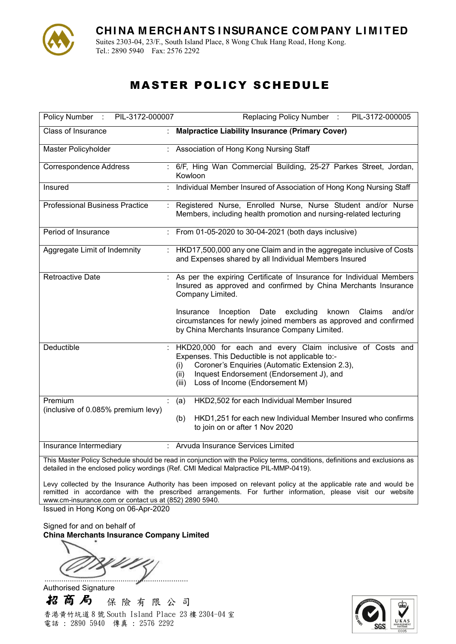

Suites 2303-04, 23/F., South Island Place, 8 Wong Chuk Hang Road, Hong Kong. Tel.: 2890 5940 Fax: 2576 2292

# MASTER POLICY SCHEDULE

| PIL-3172-000007<br>Policy Number :            |   | Replacing Policy Number :<br>PIL-3172-000005                                                                                                                                                                                                                          |
|-----------------------------------------------|---|-----------------------------------------------------------------------------------------------------------------------------------------------------------------------------------------------------------------------------------------------------------------------|
| Class of Insurance                            |   | <b>Malpractice Liability Insurance (Primary Cover)</b>                                                                                                                                                                                                                |
| Master Policyholder                           |   | Association of Hong Kong Nursing Staff                                                                                                                                                                                                                                |
| <b>Correspondence Address</b>                 |   | 6/F, Hing Wan Commercial Building, 25-27 Parkes Street, Jordan,<br>Kowloon                                                                                                                                                                                            |
| Insured                                       |   | Individual Member Insured of Association of Hong Kong Nursing Staff                                                                                                                                                                                                   |
| <b>Professional Business Practice</b>         |   | : Registered Nurse, Enrolled Nurse, Nurse Student and/or Nurse<br>Members, including health promotion and nursing-related lecturing                                                                                                                                   |
| Period of Insurance                           |   | From 01-05-2020 to 30-04-2021 (both days inclusive)                                                                                                                                                                                                                   |
| Aggregate Limit of Indemnity                  |   | HKD17,500,000 any one Claim and in the aggregate inclusive of Costs<br>and Expenses shared by all Individual Members Insured                                                                                                                                          |
| <b>Retroactive Date</b>                       |   | As per the expiring Certificate of Insurance for Individual Members<br>Insured as approved and confirmed by China Merchants Insurance<br>Company Limited.                                                                                                             |
|                                               |   | Inception Date excluding<br>Insurance<br>known<br>Claims<br>and/or<br>circumstances for newly joined members as approved and confirmed<br>by China Merchants Insurance Company Limited.                                                                               |
| Deductible                                    |   | HKD20,000 for each and every Claim inclusive of Costs and<br>Expenses. This Deductible is not applicable to:-<br>Coroner's Enquiries (Automatic Extension 2.3),<br>(i)<br>Inquest Endorsement (Endorsement J), and<br>(ii)<br>Loss of Income (Endorsement M)<br>(iii) |
| Premium<br>(inclusive of 0.085% premium levy) | ÷ | HKD2,502 for each Individual Member Insured<br>(a)                                                                                                                                                                                                                    |
|                                               |   | HKD1,251 for each new Individual Member Insured who confirms<br>(b)<br>to join on or after 1 Nov 2020                                                                                                                                                                 |
| Insurance Intermediary                        |   | : Arvuda Insurance Services Limited                                                                                                                                                                                                                                   |

This Master Policy Schedule should be read in conjunction with the Policy terms, conditions, definitions and exclusions as detailed in the enclosed policy wordings (Ref. CMI Medical Malpractice PIL-MMP-0419).

Levy collected by the Insurance Authority has been imposed on relevant policy at the applicable rate and would be remitted in accordance with the prescribed arrangements. For further information, please visit our website www.cm-insurance.com or contact us at (852) 2890 5940.

Issued in Hong Kong on 06-Apr-2020

Signed for and on behalf of **China Merchants Insurance Company Limited**

....................................................................

Authorised Signature招商局 保 險 有 限 公 司 香港黄竹坑道 8 號 South Island Place 23 樓 2304-04 室 電話 : 2890 5940 傳真 : 2576 2292

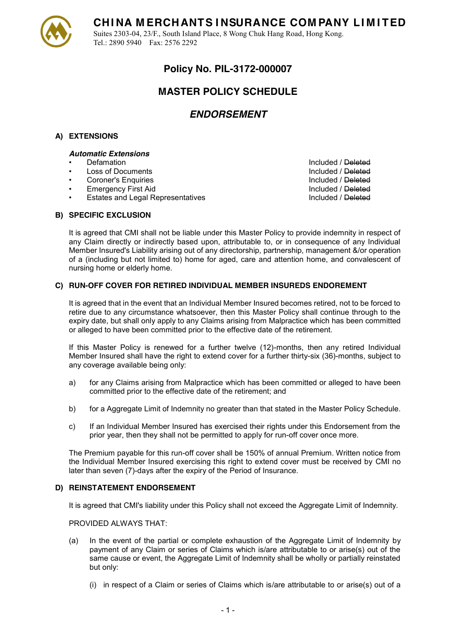

Suites 2303-04, 23/F., South Island Place, 8 Wong Chuk Hang Road, Hong Kong. Tel.: 2890 5940 Fax: 2576 2292

## **Policy No. PIL-3172-000007**

## **MASTER POLICY SCHEDULE**

### *ENDORSEMENT*

### **A) EXTENSIONS**

#### *Automatic Extensions*

- 
- Loss of Documents **Included** / Deleted
- **Coroner's Enquiries Included / Deleted Included / Deleted Included / Deleted Included / Deleted Included / Deleted Included / Deleted Included / Deleted Included / Deleted Included / Deleted Included / Deleted Included /**
- Emergency First Aid **Included** / Deleted
- Estates and Legal Representatives **Included** / Deleted

Defamation **Included** / Defamation

### **B) SPECIFIC EXCLUSION**

It is agreed that CMI shall not be liable under this Master Policy to provide indemnity in respect of any Claim directly or indirectly based upon, attributable to, or in consequence of any Individual Member Insured's Liability arising out of any directorship, partnership, management &/or operation of a (including but not limited to) home for aged, care and attention home, and convalescent of nursing home or elderly home.

### **C) RUN-OFF COVER FOR RETIRED INDIVIDUAL MEMBER INSUREDS ENDOREMENT**

It is agreed that in the event that an Individual Member Insured becomes retired, not to be forced to retire due to any circumstance whatsoever, then this Master Policy shall continue through to the expiry date, but shall only apply to any Claims arising from Malpractice which has been committed or alleged to have been committed prior to the effective date of the retirement.

If this Master Policy is renewed for a further twelve (12)-months, then any retired Individual Member Insured shall have the right to extend cover for a further thirty-six (36)-months, subject to any coverage available being only:

- a) for any Claims arising from Malpractice which has been committed or alleged to have been committed prior to the effective date of the retirement; and
- b) for a Aggregate Limit of Indemnity no greater than that stated in the Master Policy Schedule.
- c) If an Individual Member Insured has exercised their rights under this Endorsement from the prior year, then they shall not be permitted to apply for run-off cover once more.

The Premium payable for this run-off cover shall be 150% of annual Premium. Written notice from the Individual Member Insured exercising this right to extend cover must be received by CMI no later than seven (7)-days after the expiry of the Period of Insurance.

### **D) REINSTATEMENT ENDORSEMENT**

It is agreed that CMI's liability under this Policy shall not exceed the Aggregate Limit of Indemnity.

PROVIDED ALWAYS THAT:

- (a) In the event of the partial or complete exhaustion of the Aggregate Limit of Indemnity by payment of any Claim or series of Claims which is/are attributable to or arise(s) out of the same cause or event, the Aggregate Limit of Indemnity shall be wholly or partially reinstated but only:
	- (i) in respect of a Claim or series of Claims which is/are attributable to or arise(s) out of a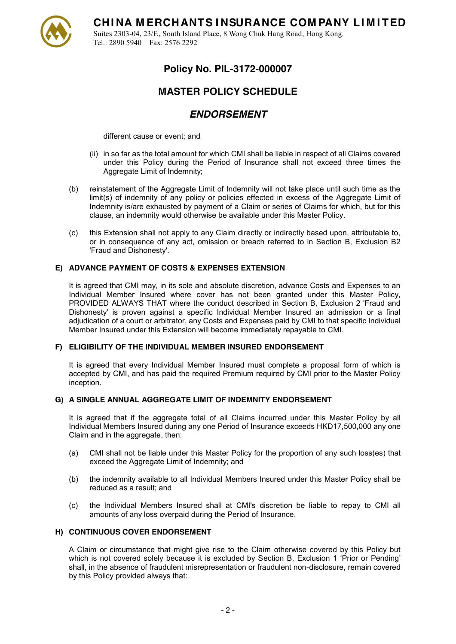

Suites 2303-04, 23/F., South Island Place, 8 Wong Chuk Hang Road, Hong Kong. Tel.: 2890 5940 Fax: 2576 2292

## **Policy No. PIL-3172-000007**

## **MASTER POLICY SCHEDULE**

### *ENDORSEMENT*

different cause or event; and

- (ii) in so far as the total amount for which CMI shall be liable in respect of all Claims covered under this Policy during the Period of Insurance shall not exceed three times the Aggregate Limit of Indemnity;
- (b) reinstatement of the Aggregate Limit of Indemnity will not take place until such time as the limit(s) of indemnity of any policy or policies effected in excess of the Aggregate Limit of Indemnity is/are exhausted by payment of a Claim or series of Claims for which, but for this clause, an indemnity would otherwise be available under this Master Policy.
- (c) this Extension shall not apply to any Claim directly or indirectly based upon, attributable to, or in consequence of any act, omission or breach referred to in Section B, Exclusion B2 'Fraud and Dishonesty'.

### **E) ADVANCE PAYMENT OF COSTS & EXPENSES EXTENSION**

It is agreed that CMI may, in its sole and absolute discretion, advance Costs and Expenses to an Individual Member Insured where cover has not been granted under this Master Policy, PROVIDED ALWAYS THAT where the conduct described in Section B, Exclusion 2 'Fraud and Dishonesty' is proven against a specific Individual Member Insured an admission or a final adjudication of a court or arbitrator, any Costs and Expenses paid by CMI to that specific Individual Member Insured under this Extension will become immediately repayable to CMI.

### **F) ELIGIBILITY OF THE INDIVIDUAL MEMBER INSURED ENDORSEMENT**

It is agreed that every Individual Member Insured must complete a proposal form of which is accepted by CMI, and has paid the required Premium required by CMI prior to the Master Policy inception.

### **G) A SINGLE ANNUAL AGGREGATE LIMIT OF INDEMNITY ENDORSEMENT**

It is agreed that if the aggregate total of all Claims incurred under this Master Policy by all Individual Members Insured during any one Period of Insurance exceeds HKD17,500,000 any one Claim and in the aggregate, then:

- (a) CMI shall not be liable under this Master Policy for the proportion of any such loss(es) that exceed the Aggregate Limit of Indemnity; and
- (b) the indemnity available to all Individual Members Insured under this Master Policy shall be reduced as a result; and
- (c) the Individual Members Insured shall at CMI's discretion be liable to repay to CMI all amounts of any loss overpaid during the Period of Insurance.

### **H) CONTINUOUS COVER ENDORSEMENT**

A Claim or circumstance that might give rise to the Claim otherwise covered by this Policy but which is not covered solely because it is excluded by Section B. Exclusion 1 'Prior or Pending' shall, in the absence of fraudulent misrepresentation or fraudulent non-disclosure, remain covered by this Policy provided always that: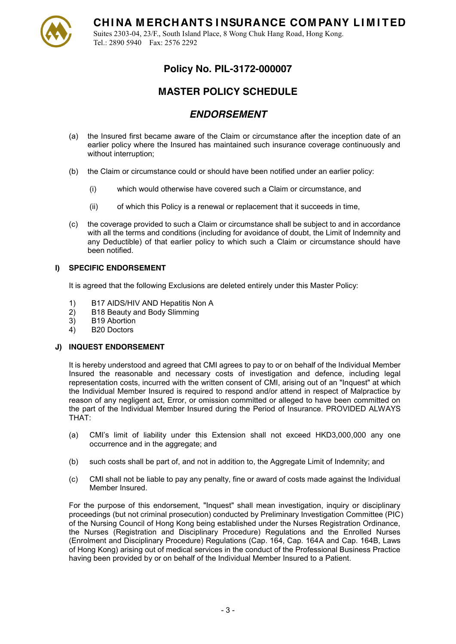

Suites 2303-04, 23/F., South Island Place, 8 Wong Chuk Hang Road, Hong Kong. Tel.: 2890 5940 Fax: 2576 2292

## **Policy No. PIL-3172-000007**

## **MASTER POLICY SCHEDULE**

## *ENDORSEMENT*

- (a) the Insured first became aware of the Claim or circumstance after the inception date of an earlier policy where the Insured has maintained such insurance coverage continuously and without interruption;
- (b) the Claim or circumstance could or should have been notified under an earlier policy:
	- (i) which would otherwise have covered such a Claim or circumstance, and
	- (ii) of which this Policy is a renewal or replacement that it succeeds in time,
- (c) the coverage provided to such a Claim or circumstance shall be subject to and in accordance with all the terms and conditions (including for avoidance of doubt, the Limit of Indemnity and any Deductible) of that earlier policy to which such a Claim or circumstance should have been notified.

### **I) SPECIFIC ENDORSEMENT**

It is agreed that the following Exclusions are deleted entirely under this Master Policy:

- 1) B17 AIDS/HIV AND Hepatitis Non A
- 2) B18 Beauty and Body Slimming
- 3) B19 Abortion
- 4) B20 Doctors

### **J) INQUEST ENDORSEMENT**

It is hereby understood and agreed that CMI agrees to pay to or on behalf of the Individual Member Insured the reasonable and necessary costs of investigation and defence, including legal representation costs, incurred with the written consent of CMI, arising out of an "Inquest" at which the Individual Member Insured is required to respond and/or attend in respect of Malpractice by reason of any negligent act, Error, or omission committed or alleged to have been committed on the part of the Individual Member Insured during the Period of Insurance. PROVIDED ALWAYS THAT:

- (a) CMI's limit of liability under this Extension shall not exceed  $HKD3,000,000$  any one occurrence and in the aggregate; and
- (b) such costs shall be part of, and not in addition to, the Aggregate Limit of Indemnity; and
- (c) CMI shall not be liable to pay any penalty, fine or award of costs made against the Individual Member Insured.

For the purpose of this endorsement, "Inquest" shall mean investigation, inquiry or disciplinary proceedings (but not criminal prosecution) conducted by Preliminary Investigation Committee (PIC) of the Nursing Council of Hong Kong being established under the Nurses Registration Ordinance, the Nurses (Registration and Disciplinary Procedure) Regulations and the Enrolled Nurses (Enrolment and Disciplinary Procedure) Regulations (Cap. 164, Cap. 164A and Cap. 164B, Laws of Hong Kong) arising out of medical services in the conduct of the Professional Business Practice having been provided by or on behalf of the Individual Member Insured to a Patient.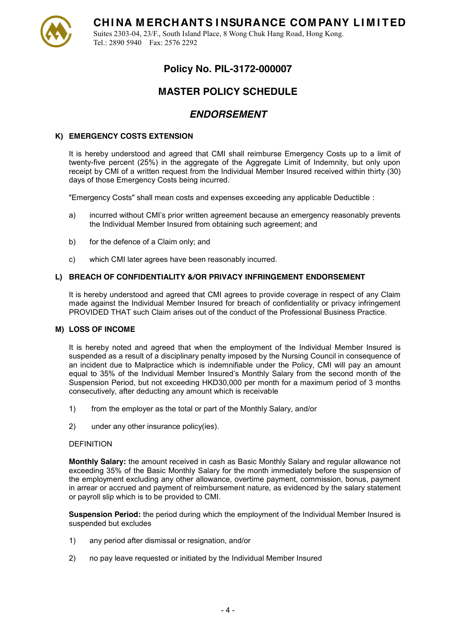

Suites 2303-04, 23/F., South Island Place, 8 Wong Chuk Hang Road, Hong Kong. Tel.: 2890 5940 Fax: 2576 2292

## **Policy No. PIL-3172-000007**

## **MASTER POLICY SCHEDULE**

### *ENDORSEMENT*

### **K) EMERGENCY COSTS EXTENSION**

It is hereby understood and agreed that CMI shall reimburse Emergency Costs up to a limit of twenty-five percent (25%) in the aggregate of the Aggregate Limit of Indemnity, but only upon receipt by CMI of a written request from the Individual Member Insured received within thirty (30) days of those Emergency Costs being incurred.

"Emergency Costs" shall mean costs and expenses exceeding any applicable Deductible :

- a) incurred without CMI's prior written agreement because an emergency reasonably prevents the Individual Member Insured from obtaining such agreement; and
- b) for the defence of a Claim only; and
- c) which CMI later agrees have been reasonably incurred.

### **L) BREACH OF CONFIDENTIALITY &/OR PRIVACY INFRINGEMENT ENDORSEMENT**

It is hereby understood and agreed that CMI agrees to provide coverage in respect of any Claim made against the Individual Member Insured for breach of confidentiality or privacy infringement PROVIDED THAT such Claim arises out of the conduct of the Professional Business Practice.

#### **M) LOSS OF INCOME**

It is hereby noted and agreed that when the employment of the Individual Member Insured is suspended as a result of a disciplinary penalty imposed by the Nursing Council in consequence of an incident due to Malpractice which is indemnifiable under the Policy, CMI will pay an amount equal to 35% of the Individual Member Insured's Monthly Salary from the second month of the Suspension Period, but not exceeding HKD30,000 per month for a maximum period of 3 months consecutively, after deducting any amount which is receivable

- 1) from the employer as the total or part of the Monthly Salary, and/or
- 2) under any other insurance policy(ies).

#### DEFINITION

**Monthly Salary:** the amount received in cash as Basic Monthly Salary and regular allowance not exceeding 35% of the Basic Monthly Salary for the month immediately before the suspension of the employment excluding any other allowance, overtime payment, commission, bonus, payment in arrear or accrued and payment of reimbursement nature, as evidenced by the salary statement or payroll slip which is to be provided to CMI.

**Suspension Period:** the period during which the employment of the Individual Member Insured is suspended but excludes

- 1) any period after dismissal or resignation, and/or
- 2) no pay leave requested or initiated by the Individual Member Insured